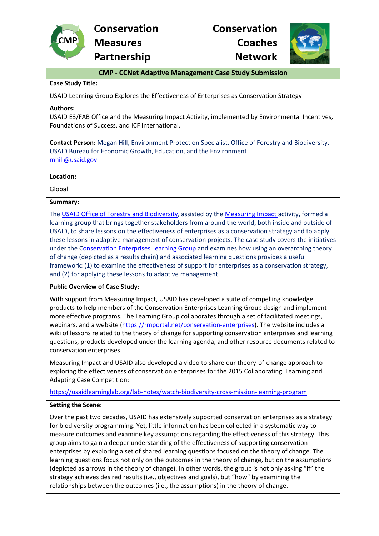

# **Conservation Coaches Network**



# **CMP - CCNet Adaptive Management Case Study Submission**

## **Case Study Title:**

USAID Learning Group Explores the Effectiveness of Enterprises as Conservation Strategy

#### **Authors:**

USAID E3/FAB Office and the Measuring Impact Activity, implemented by Environmental Incentives, Foundations of Success, and ICF International.

**Contact Person:** Megan Hill, Environment Protection Specialist, Office of Forestry and Biodiversity, USAID Bureau for Economic Growth, Education, and the Environment [mhill@usaid.gov](mailto:mhill@usaid.gov)

#### **Location:**

Global

#### **Summary:**

The USAID Office of [Forestry and Biodiversity,](https://www.usaid.gov/who-we-are/organization/bureaus/bureau-economic-growth-education-and-environment/office-forestry-and) assisted by the [Measuring Impact](https://rmportal.net/biodiversityconservation-gateway/resources/projects/measuring-impact) activity, formed a learning group that brings together stakeholders from around the world, both inside and outside of USAID, to share lessons on the effectiveness of enterprises as a conservation strategy and to apply these lessons in adaptive management of conservation projects. The case study covers the initiatives under the [Conservation Enterprises Learning Group](https://rmportal.net/conservation-enterprises) and examines how using an overarching theory of change (depicted as a results chain) and associated learning questions provides a useful framework: (1) to examine the effectiveness of support for enterprises as a conservation strategy, and (2) for applying these lessons to adaptive management.

#### **Public Overview of Case Study:**

With support from Measuring Impact, USAID has developed a suite of compelling knowledge products to help members of the Conservation Enterprises Learning Group design and implement more effective programs. The Learning Group collaborates through a set of facilitated meetings, webinars, and a website [\(https://rmportal.net/conservation-enterprises\)](https://rmportal.net/conservation-enterprises). The website includes a wiki of lessons related to the theory of change for supporting conservation enterprises and learning questions, products developed under the learning agenda, and other resource documents related to conservation enterprises.

Measuring Impact and USAID also developed a video to share our theory-of-change approach to exploring the effectiveness of conservation enterprises for the 2015 Collaborating, Learning and Adapting Case Competition:

<https://usaidlearninglab.org/lab-notes/watch-biodiversity-cross-mission-learning-program>

#### **Setting the Scene:**

Over the past two decades, USAID has extensively supported conservation enterprises as a strategy for biodiversity programming. Yet, little information has been collected in a systematic way to measure outcomes and examine key assumptions regarding the effectiveness of this strategy. This group aims to gain a deeper understanding of the effectiveness of supporting conservation enterprises by exploring a set of shared learning questions focused on the theory of change. The learning questions focus not only on the outcomes in the theory of change, but on the assumptions (depicted as arrows in the theory of change). In other words, the group is not only asking "if" the strategy achieves desired results (i.e., objectives and goals), but "how" by examining the relationships between the outcomes (i.e., the assumptions) in the theory of change.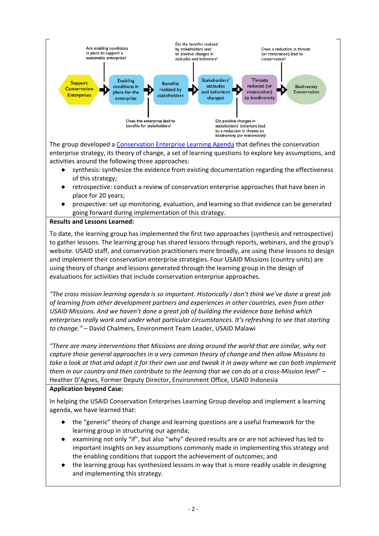

The group developed a [Conservation Enterprise Learning Agenda](https://rmportal.net/conservation-enterprises/learning-agenda) that defines the conservation enterprise strategy, its theory of change, a set of learning questions to explore key assumptions, and activities around the following three approaches:

- synthesis: synthesize the evidence from existing documentation regarding the effectiveness of this strategy;
- retrospective: conduct a review of conservation enterprise approaches that have been in place for 20 years;
- prospective: set up monitoring, evaluation, and learning so that evidence can be generated going forward during implementation of this strategy.
- **Results and Lessons Learned:**

To date, the learning group has implemented the first two approaches (synthesis and retrospective) to gather lessons. The learning group has shared lessons through reports, webinars, and the group's website. USAID staff, and conservation practitioners more broadly, are using these lessons to design and implement their conservation enterprise strategies. Four USAID Missions (country units) are using theory of change and lessons generated through the learning group in the design of evaluations for activities that include conservation enterprise approaches.

*"The cross mission learning agenda is so important. Historically I don't think we've done a great job of learning from other development partners and experiences in other countries, even from other USAID Missions. And we haven't done a great job of building the evidence base behind which enterprises really work and under what particular circumstances. It's refreshing to see that starting to change."* – David Chalmers, Environment Team Leader, USAID Malawi

*"There are many interventions that Missions are doing around the world that are similar, why not capture those general approaches in a very common theory of change and then allow Missions to take a look at that and adapt it for their own use and tweak it in away where we can both implement them in our country and then contribute to the learning that we can do at a cross-Mission level*" – Heather D'Agnes, Former Deputy Director, Environment Office, USAID Indonesia

## **Application beyond Case:**

In helping the USAID Conservation Enterprises Learning Group develop and implement a learning agenda, we have learned that:

- the "generic" theory of change and learning questions are a useful framework for the learning group in structuring our agenda;
- examining not only "if", but also "why" desired results are or are not achieved has led to important insights on key assumptions commonly made in implementing this strategy and the enabling conditions that support the achievement of outcomes; and
- the learning group has synthesized lessons in way that is more readily usable in designing and implementing this strategy.